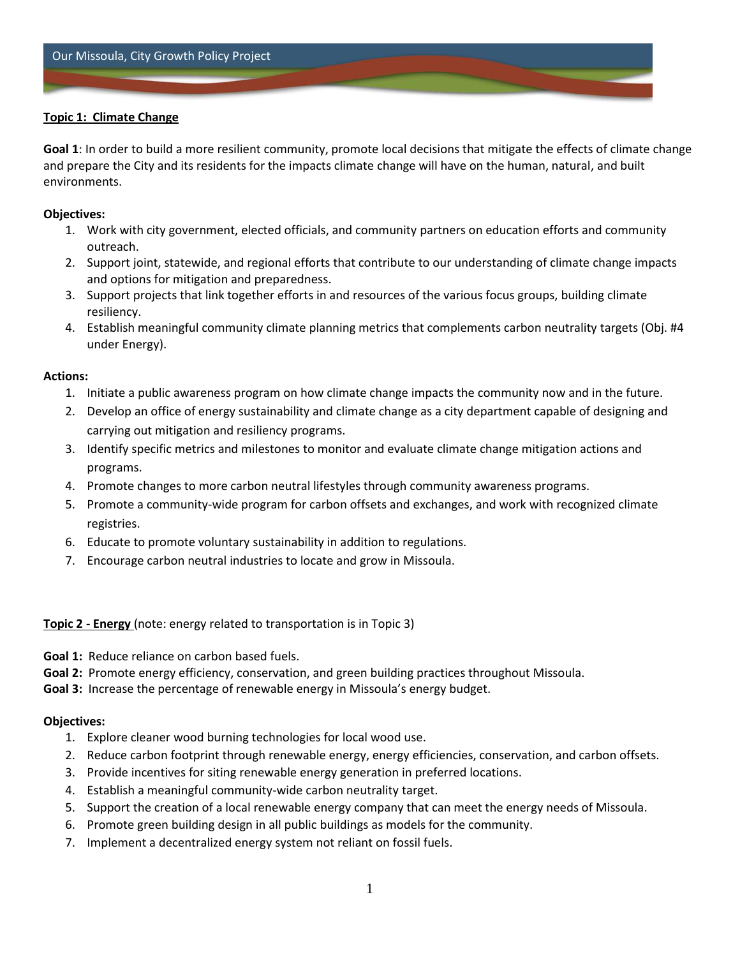# **Topic 1: Climate Change**

**Goal 1**: In order to build a more resilient community, promote local decisions that mitigate the effects of climate change and prepare the City and its residents for the impacts climate change will have on the human, natural, and built environments.

## **Objectives:**

- 1. Work with city government, elected officials, and community partners on education efforts and community outreach.
- 2. Support joint, statewide, and regional efforts that contribute to our understanding of climate change impacts and options for mitigation and preparedness.
- 3. Support projects that link together efforts in and resources of the various focus groups, building climate resiliency.
- 4. Establish meaningful community climate planning metrics that complements carbon neutrality targets (Obj. #4 under Energy).

#### **Actions:**

- 1. Initiate a public awareness program on how climate change impacts the community now and in the future.
- 2. Develop an office of energy sustainability and climate change as a city department capable of designing and carrying out mitigation and resiliency programs.
- 3. Identify specific metrics and milestones to monitor and evaluate climate change mitigation actions and programs.
- 4. Promote changes to more carbon neutral lifestyles through community awareness programs.
- 5. Promote a community-wide program for carbon offsets and exchanges, and work with recognized climate registries.
- 6. Educate to promote voluntary sustainability in addition to regulations.
- 7. Encourage carbon neutral industries to locate and grow in Missoula.

**Topic 2 - Energy** (note: energy related to transportation is in Topic 3)

**Goal 1:** Reduce reliance on carbon based fuels.

- **Goal 2:** Promote energy efficiency, conservation, and green building practices throughout Missoula.
- **Goal 3:** Increase the percentage of renewable energy in Missoula's energy budget.

## **Objectives:**

- 1. Explore cleaner wood burning technologies for local wood use.
- 2. Reduce carbon footprint through renewable energy, energy efficiencies, conservation, and carbon offsets.
- 3. Provide incentives for siting renewable energy generation in preferred locations.
- 4. Establish a meaningful community-wide carbon neutrality target.
- 5. Support the creation of a local renewable energy company that can meet the energy needs of Missoula.
- 6. Promote green building design in all public buildings as models for the community.
- 7. Implement a decentralized energy system not reliant on fossil fuels.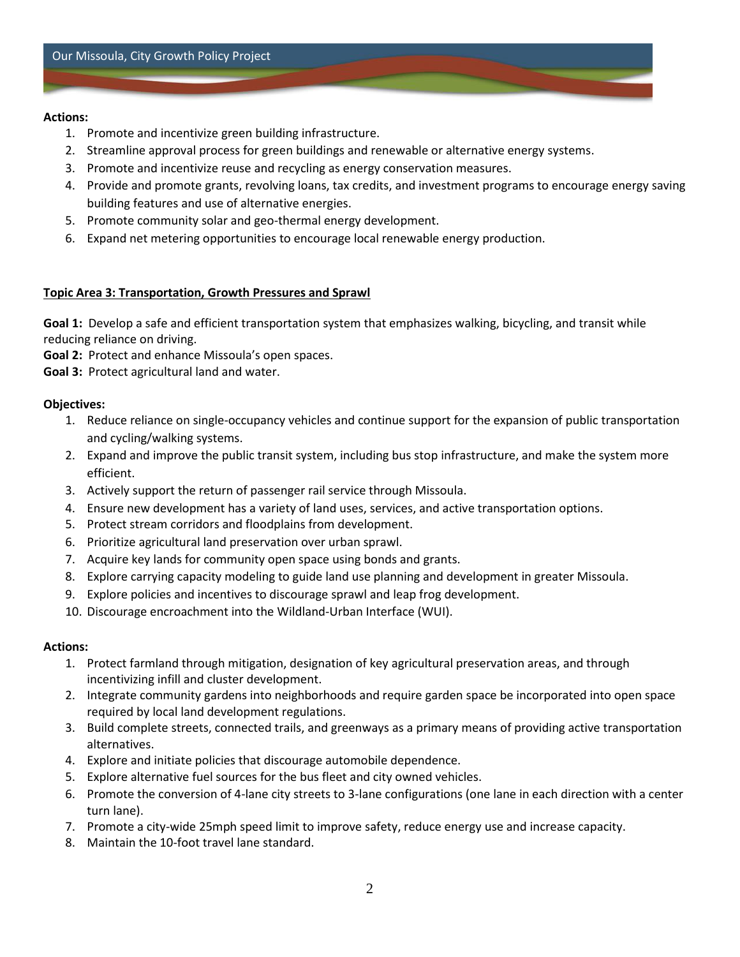#### **Actions:**

- 1. Promote and incentivize green building infrastructure.
- 2. Streamline approval process for green buildings and renewable or alternative energy systems.
- 3. Promote and incentivize reuse and recycling as energy conservation measures.
- 4. Provide and promote grants, revolving loans, tax credits, and investment programs to encourage energy saving building features and use of alternative energies.
- 5. Promote community solar and geo-thermal energy development.
- 6. Expand net metering opportunities to encourage local renewable energy production.

# **Topic Area 3: Transportation, Growth Pressures and Sprawl**

**Goal 1:** Develop a safe and efficient transportation system that emphasizes walking, bicycling, and transit while reducing reliance on driving.

**Goal 2:** Protect and enhance Missoula's open spaces.

**Goal 3:** Protect agricultural land and water.

# **Objectives:**

- 1. Reduce reliance on single-occupancy vehicles and continue support for the expansion of public transportation and cycling/walking systems.
- 2. Expand and improve the public transit system, including bus stop infrastructure, and make the system more efficient.
- 3. Actively support the return of passenger rail service through Missoula.
- 4. Ensure new development has a variety of land uses, services, and active transportation options.
- 5. Protect stream corridors and floodplains from development.
- 6. Prioritize agricultural land preservation over urban sprawl.
- 7. Acquire key lands for community open space using bonds and grants.
- 8. Explore carrying capacity modeling to guide land use planning and development in greater Missoula.
- 9. Explore policies and incentives to discourage sprawl and leap frog development.
- 10. Discourage encroachment into the Wildland-Urban Interface (WUI).

## **Actions:**

- 1. Protect farmland through mitigation, designation of key agricultural preservation areas, and through incentivizing infill and cluster development.
- 2. Integrate community gardens into neighborhoods and require garden space be incorporated into open space required by local land development regulations.
- 3. Build complete streets, connected trails, and greenways as a primary means of providing active transportation alternatives.
- 4. Explore and initiate policies that discourage automobile dependence.
- 5. Explore alternative fuel sources for the bus fleet and city owned vehicles.
- 6. Promote the conversion of 4-lane city streets to 3-lane configurations (one lane in each direction with a center turn lane).
- 7. Promote a city-wide 25mph speed limit to improve safety, reduce energy use and increase capacity.
- 8. Maintain the 10-foot travel lane standard.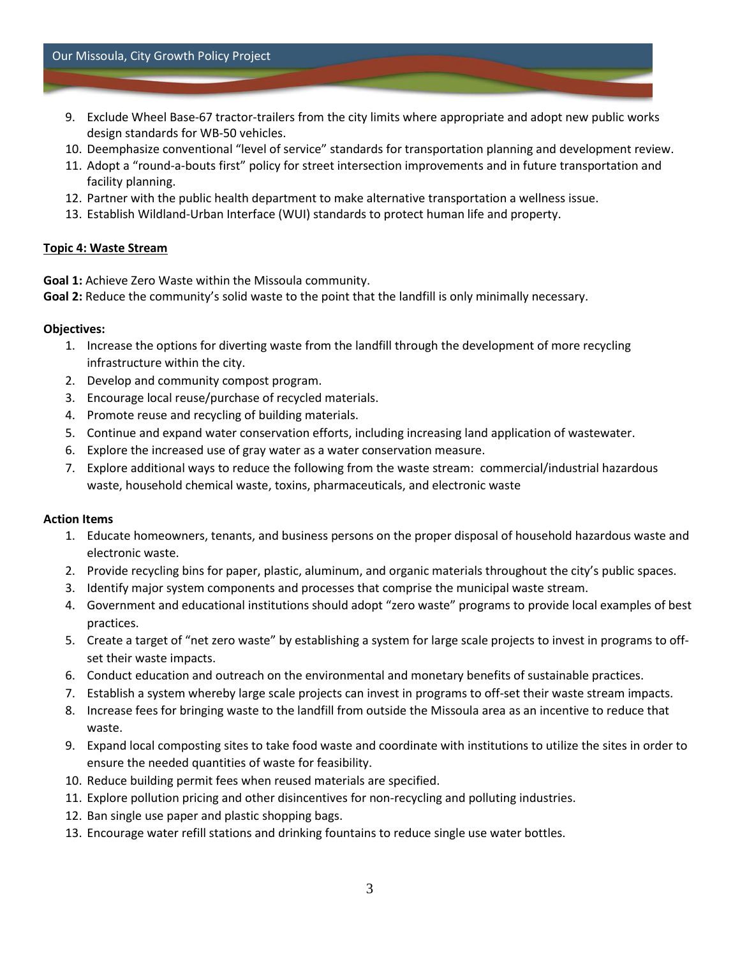- 9. Exclude Wheel Base-67 tractor-trailers from the city limits where appropriate and adopt new public works design standards for WB-50 vehicles.
- 10. Deemphasize conventional "level of service" standards for transportation planning and development review.
- 11. Adopt a "round-a-bouts first" policy for street intersection improvements and in future transportation and facility planning.
- 12. Partner with the public health department to make alternative transportation a wellness issue.
- 13. Establish Wildland-Urban Interface (WUI) standards to protect human life and property.

#### **Topic 4: Waste Stream**

**Goal 1:** Achieve Zero Waste within the Missoula community.

**Goal 2:** Reduce the community's solid waste to the point that the landfill is only minimally necessary.

#### **Objectives:**

- 1. Increase the options for diverting waste from the landfill through the development of more recycling infrastructure within the city.
- 2. Develop and community compost program.
- 3. Encourage local reuse/purchase of recycled materials.
- 4. Promote reuse and recycling of building materials.
- 5. Continue and expand water conservation efforts, including increasing land application of wastewater.
- 6. Explore the increased use of gray water as a water conservation measure.
- 7. Explore additional ways to reduce the following from the waste stream: commercial/industrial hazardous waste, household chemical waste, toxins, pharmaceuticals, and electronic waste

#### **Action Items**

- 1. Educate homeowners, tenants, and business persons on the proper disposal of household hazardous waste and electronic waste.
- 2. Provide recycling bins for paper, plastic, aluminum, and organic materials throughout the city's public spaces.
- 3. Identify major system components and processes that comprise the municipal waste stream.
- 4. Government and educational institutions should adopt "zero waste" programs to provide local examples of best practices.
- 5. Create a target of "net zero waste" by establishing a system for large scale projects to invest in programs to offset their waste impacts.
- 6. Conduct education and outreach on the environmental and monetary benefits of sustainable practices.
- 7. Establish a system whereby large scale projects can invest in programs to off-set their waste stream impacts.
- 8. Increase fees for bringing waste to the landfill from outside the Missoula area as an incentive to reduce that waste.
- 9. Expand local composting sites to take food waste and coordinate with institutions to utilize the sites in order to ensure the needed quantities of waste for feasibility.
- 10. Reduce building permit fees when reused materials are specified.
- 11. Explore pollution pricing and other disincentives for non-recycling and polluting industries.
- 12. Ban single use paper and plastic shopping bags.
- 13. Encourage water refill stations and drinking fountains to reduce single use water bottles.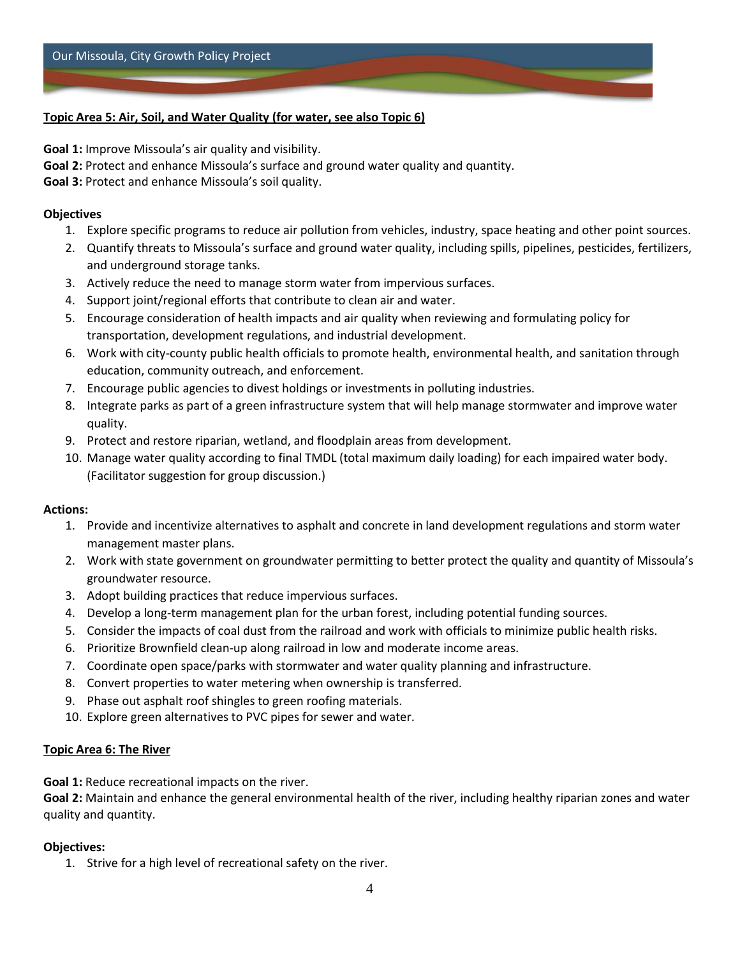# **Topic Area 5: Air, Soil, and Water Quality (for water, see also Topic 6)**

**Goal 1:** Improve Missoula's air quality and visibility.

**Goal 2:** Protect and enhance Missoula's surface and ground water quality and quantity.

**Goal 3:** Protect and enhance Missoula's soil quality.

#### **Objectives**

- 1. Explore specific programs to reduce air pollution from vehicles, industry, space heating and other point sources.
- 2. Quantify threats to Missoula's surface and ground water quality, including spills, pipelines, pesticides, fertilizers, and underground storage tanks.
- 3. Actively reduce the need to manage storm water from impervious surfaces.
- 4. Support joint/regional efforts that contribute to clean air and water.
- 5. Encourage consideration of health impacts and air quality when reviewing and formulating policy for transportation, development regulations, and industrial development.
- 6. Work with city-county public health officials to promote health, environmental health, and sanitation through education, community outreach, and enforcement.
- 7. Encourage public agencies to divest holdings or investments in polluting industries.
- 8. Integrate parks as part of a green infrastructure system that will help manage stormwater and improve water quality.
- 9. Protect and restore riparian, wetland, and floodplain areas from development.
- 10. Manage water quality according to final TMDL (total maximum daily loading) for each impaired water body. (Facilitator suggestion for group discussion.)

## **Actions:**

- 1. Provide and incentivize alternatives to asphalt and concrete in land development regulations and storm water management master plans.
- 2. Work with state government on groundwater permitting to better protect the quality and quantity of Missoula's groundwater resource.
- 3. Adopt building practices that reduce impervious surfaces.
- 4. Develop a long-term management plan for the urban forest, including potential funding sources.
- 5. Consider the impacts of coal dust from the railroad and work with officials to minimize public health risks.
- 6. Prioritize Brownfield clean-up along railroad in low and moderate income areas.
- 7. Coordinate open space/parks with stormwater and water quality planning and infrastructure.
- 8. Convert properties to water metering when ownership is transferred.
- 9. Phase out asphalt roof shingles to green roofing materials.
- 10. Explore green alternatives to PVC pipes for sewer and water.

## **Topic Area 6: The River**

**Goal 1:** Reduce recreational impacts on the river.

**Goal 2:** Maintain and enhance the general environmental health of the river, including healthy riparian zones and water quality and quantity.

## **Objectives:**

1. Strive for a high level of recreational safety on the river.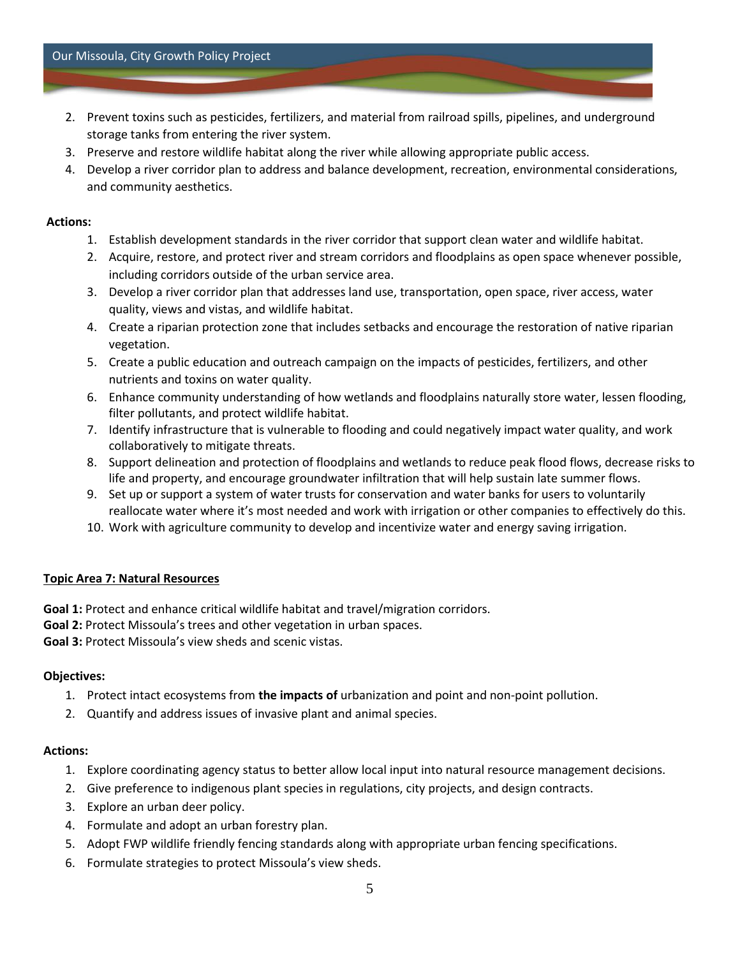- 2. Prevent toxins such as pesticides, fertilizers, and material from railroad spills, pipelines, and underground storage tanks from entering the river system.
- 3. Preserve and restore wildlife habitat along the river while allowing appropriate public access.
- 4. Develop a river corridor plan to address and balance development, recreation, environmental considerations, and community aesthetics.

## **Actions:**

- 1. Establish development standards in the river corridor that support clean water and wildlife habitat.
- 2. Acquire, restore, and protect river and stream corridors and floodplains as open space whenever possible, including corridors outside of the urban service area.
- 3. Develop a river corridor plan that addresses land use, transportation, open space, river access, water quality, views and vistas, and wildlife habitat.
- 4. Create a riparian protection zone that includes setbacks and encourage the restoration of native riparian vegetation.
- 5. Create a public education and outreach campaign on the impacts of pesticides, fertilizers, and other nutrients and toxins on water quality.
- 6. Enhance community understanding of how wetlands and floodplains naturally store water, lessen flooding, filter pollutants, and protect wildlife habitat.
- 7. Identify infrastructure that is vulnerable to flooding and could negatively impact water quality, and work collaboratively to mitigate threats.
- 8. Support delineation and protection of floodplains and wetlands to reduce peak flood flows, decrease risks to life and property, and encourage groundwater infiltration that will help sustain late summer flows.
- 9. Set up or support a system of water trusts for conservation and water banks for users to voluntarily reallocate water where it's most needed and work with irrigation or other companies to effectively do this.
- 10. Work with agriculture community to develop and incentivize water and energy saving irrigation.

## **Topic Area 7: Natural Resources**

**Goal 1:** Protect and enhance critical wildlife habitat and travel/migration corridors.

**Goal 2:** Protect Missoula's trees and other vegetation in urban spaces.

**Goal 3:** Protect Missoula's view sheds and scenic vistas.

## **Objectives:**

- 1. Protect intact ecosystems from **the impacts of** urbanization and point and non-point pollution.
- 2. Quantify and address issues of invasive plant and animal species.

## **Actions:**

- 1. Explore coordinating agency status to better allow local input into natural resource management decisions.
- 2. Give preference to indigenous plant species in regulations, city projects, and design contracts.
- 3. Explore an urban deer policy.
- 4. Formulate and adopt an urban forestry plan.
- 5. Adopt FWP wildlife friendly fencing standards along with appropriate urban fencing specifications.
- 6. Formulate strategies to protect Missoula's view sheds.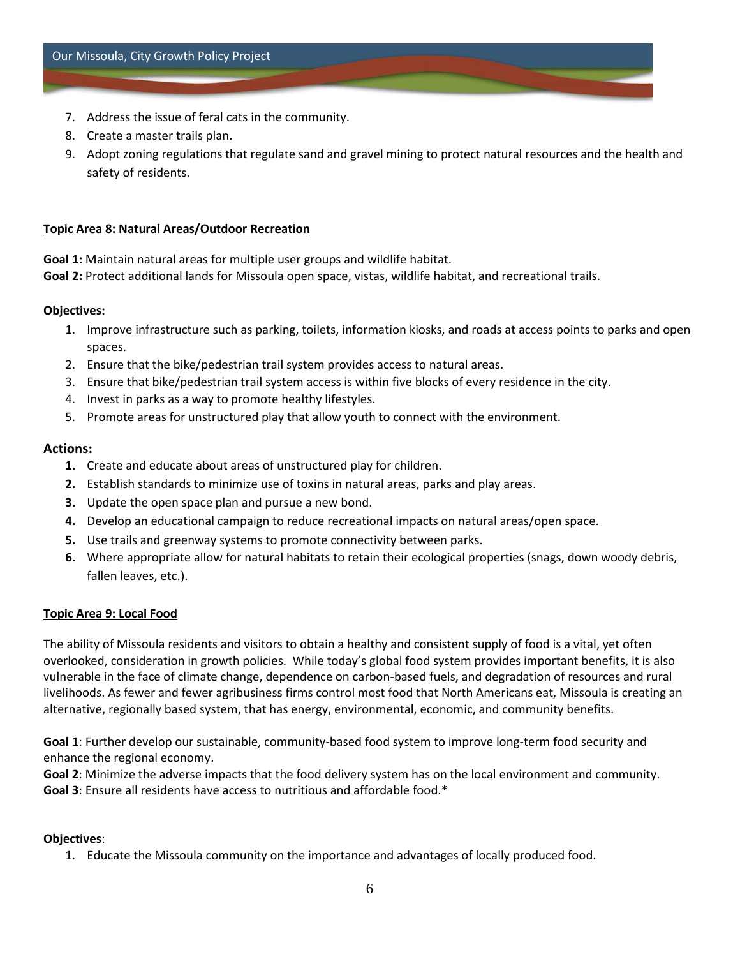- 7. Address the issue of feral cats in the community.
- 8. Create a master trails plan.
- 9. Adopt zoning regulations that regulate sand and gravel mining to protect natural resources and the health and safety of residents.

#### **Topic Area 8: Natural Areas/Outdoor Recreation**

**Goal 1:** Maintain natural areas for multiple user groups and wildlife habitat. **Goal 2:** Protect additional lands for Missoula open space, vistas, wildlife habitat, and recreational trails.

#### **Objectives:**

- 1. Improve infrastructure such as parking, toilets, information kiosks, and roads at access points to parks and open spaces.
- 2. Ensure that the bike/pedestrian trail system provides access to natural areas.
- 3. Ensure that bike/pedestrian trail system access is within five blocks of every residence in the city.
- 4. Invest in parks as a way to promote healthy lifestyles.
- 5. Promote areas for unstructured play that allow youth to connect with the environment.

## **Actions:**

- **1.** Create and educate about areas of unstructured play for children.
- **2.** Establish standards to minimize use of toxins in natural areas, parks and play areas.
- **3.** Update the open space plan and pursue a new bond.
- **4.** Develop an educational campaign to reduce recreational impacts on natural areas/open space.
- **5.** Use trails and greenway systems to promote connectivity between parks.
- **6.** Where appropriate allow for natural habitats to retain their ecological properties (snags, down woody debris, fallen leaves, etc.).

#### **Topic Area 9: Local Food**

The ability of Missoula residents and visitors to obtain a healthy and consistent supply of food is a vital, yet often overlooked, consideration in growth policies. While today's global food system provides important benefits, it is also vulnerable in the face of climate change, dependence on carbon-based fuels, and degradation of resources and rural livelihoods. As fewer and fewer agribusiness firms control most food that North Americans eat, Missoula is creating an alternative, regionally based system, that has energy, environmental, economic, and community benefits.

**Goal 1**: Further develop our sustainable, community-based food system to improve long-term food security and enhance the regional economy.

**Goal 2**: Minimize the adverse impacts that the food delivery system has on the local environment and community. **Goal 3**: Ensure all residents have access to nutritious and affordable food.\*

#### **Objectives**:

1. Educate the Missoula community on the importance and advantages of locally produced food.